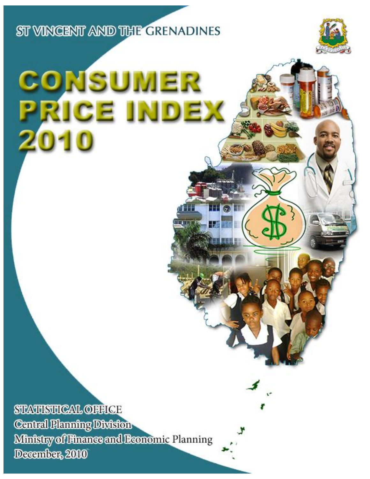ST VINCENT AND THE GRENADINES

# CONSUMER RICE INDEX

**HOLD** 

128 886

**STATISTICAL OFFICE Central Planning Division** Ministry of Finance and Beonomic Planning December, 2010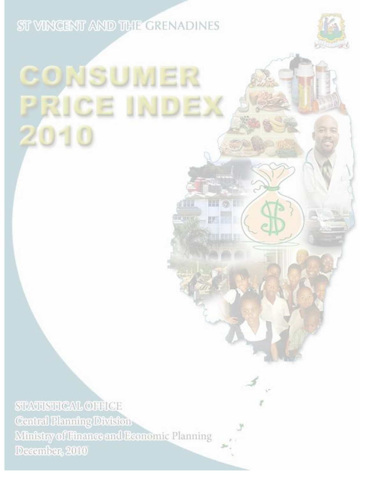ST VINCENT AND THE GRENADINES

# CONSUMER PRICE INDE)  $20 -$

 $III 0.11$ 

眼

**Streets** 

清算書簿

 $0.11176$ 

**STATISTICAL OFFICE Central Planning Division** Ministry of Finance and Economic Planning December, 2010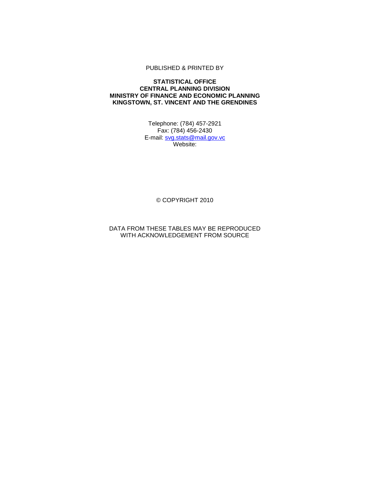### PUBLISHED & PRINTED BY

### **STATISTICAL OFFICE CENTRAL PLANNING DIVISION MINISTRY OF FINANCE AND ECONOMIC PLANNING KINGSTOWN, ST. VINCENT AND THE GRENDINES**

Telephone: (784) 457-2921 Fax: (784) 456-2430 E-mail: [svg.stats@](mailto:svg.stats)mail.gov.vc Website:

© COPYRIGHT 2010

DATA FROM THESE TABLES MAY BE REPRODUCED WITH ACKNOWLEDGEMENT FROM SOURCE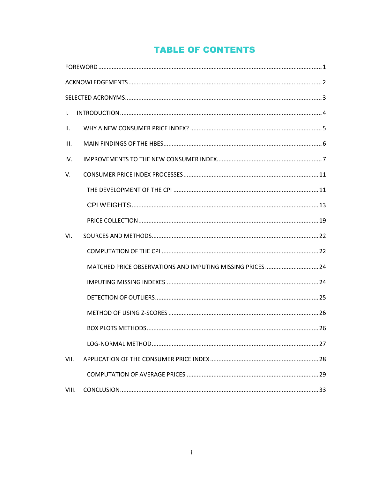# **TABLE OF CONTENTS**

| $\mathbf{L}$ |                                                           |  |
|--------------|-----------------------------------------------------------|--|
| II.          |                                                           |  |
| III.         |                                                           |  |
| IV.          |                                                           |  |
| V.           |                                                           |  |
|              |                                                           |  |
|              |                                                           |  |
|              |                                                           |  |
| VI.          |                                                           |  |
|              |                                                           |  |
|              | MATCHED PRICE OBSERVATIONS AND IMPUTING MISSING PRICES 24 |  |
|              |                                                           |  |
|              |                                                           |  |
|              |                                                           |  |
|              |                                                           |  |
|              |                                                           |  |
| VII.         |                                                           |  |
|              |                                                           |  |
| VIII.        |                                                           |  |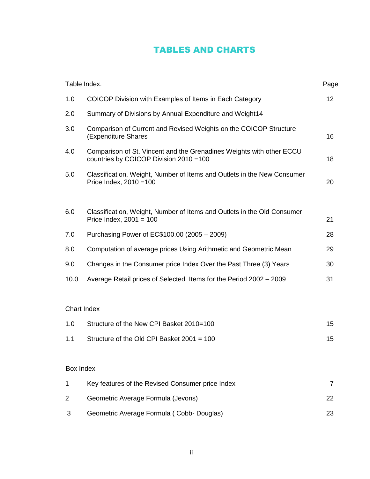## TABLES AND CHARTS

|           | Table Index.                                                                                                    | Page            |
|-----------|-----------------------------------------------------------------------------------------------------------------|-----------------|
| 1.0       | COICOP Division with Examples of Items in Each Category                                                         | 12 <sub>2</sub> |
| 2.0       | Summary of Divisions by Annual Expenditure and Weight14                                                         |                 |
| 3.0       | Comparison of Current and Revised Weights on the COICOP Structure<br>(Expenditure Shares                        | 16              |
| 4.0       | Comparison of St. Vincent and the Grenadines Weights with other ECCU<br>countries by COICOP Division 2010 = 100 | 18              |
| 5.0       | Classification, Weight, Number of Items and Outlets in the New Consumer<br>Price Index, 2010 = 100              | 20              |
| 6.0       | Classification, Weight, Number of Items and Outlets in the Old Consumer<br>Price Index, $2001 = 100$            | 21              |
| 7.0       | Purchasing Power of EC\$100.00 (2005 - 2009)                                                                    | 28              |
| 8.0       | Computation of average prices Using Arithmetic and Geometric Mean                                               | 29              |
| 9.0       | Changes in the Consumer price Index Over the Past Three (3) Years                                               | 30              |
| 10.0      | Average Retail prices of Selected Items for the Period 2002 - 2009                                              | 31              |
|           | Chart Index                                                                                                     |                 |
| 1.0       | Structure of the New CPI Basket 2010=100                                                                        | 15              |
| 1.1       | Structure of the Old CPI Basket 2001 = 100                                                                      | 15              |
| Box Index |                                                                                                                 |                 |
|           |                                                                                                                 |                 |

| Key features of the Revised Consumer price Index |  |
|--------------------------------------------------|--|
| Geometric Average Formula (Jevons)               |  |
| Geometric Average Formula (Cobb-Douglas)         |  |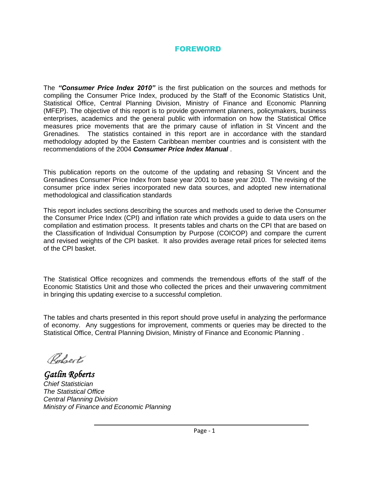### FOREWORD

<span id="page-6-0"></span>The *"Consumer Price Index 2010"* is the first publication on the sources and methods for compiling the Consumer Price Index, produced by the Staff of the Economic Statistics Unit, Statistical Office, Central Planning Division, Ministry of Finance and Economic Planning (MFEP). The objective of this report is to provide government planners, policymakers, business enterprises, academics and the general public with information on how the Statistical Office measures price movements that are the primary cause of inflation in St Vincent and the Grenadines. The statistics contained in this report are in accordance with the standard methodology adopted by the Eastern Caribbean member countries and is consistent with the recommendations of the 2004 *Consumer Price Index Manual* .

This publication reports on the outcome of the updating and rebasing St Vincent and the Grenadines Consumer Price Index from base year 2001 to base year 2010. The revising of the consumer price index series incorporated new data sources, and adopted new international methodological and classification standards

This report includes sections describing the sources and methods used to derive the Consumer the Consumer Price Index (CPI) and inflation rate which provides a guide to data users on the compilation and estimation process. It presents tables and charts on the CPI that are based on the Classification of Individual Consumption by Purpose (COICOP) and compare the current and revised weights of the CPI basket. It also provides average retail prices for selected items of the CPI basket.

The Statistical Office recognizes and commends the tremendous efforts of the staff of the Economic Statistics Unit and those who collected the prices and their unwavering commitment in bringing this updating exercise to a successful completion.

The tables and charts presented in this report should prove useful in analyzing the performance of economy. Any suggestions for improvement, comments or queries may be directed to the Statistical Office, Central Planning Division, Ministry of Finance and Economic Planning .

Roberto

*Gatlin Roberts Chief Statistician The Statistical Office Central Planning Division Ministry of Finance and Economic Planning*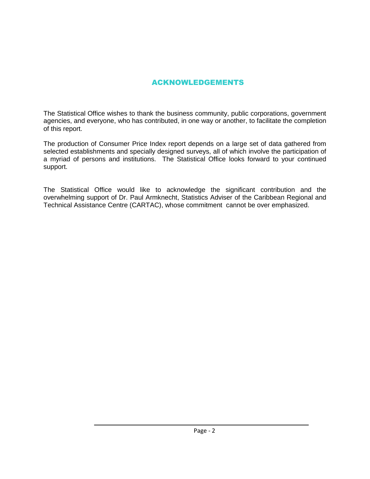### ACKNOWLEDGEMENTS

<span id="page-7-0"></span>The Statistical Office wishes to thank the business community, public corporations, government agencies, and everyone, who has contributed, in one way or another, to facilitate the completion of this report.

The production of Consumer Price Index report depends on a large set of data gathered from selected establishments and specially designed surveys, all of which involve the participation of a myriad of persons and institutions. The Statistical Office looks forward to your continued support.

The Statistical Office would like to acknowledge the significant contribution and the overwhelming support of Dr. Paul Armknecht, Statistics Adviser of the Caribbean Regional and Technical Assistance Centre (CARTAC), whose commitment cannot be over emphasized.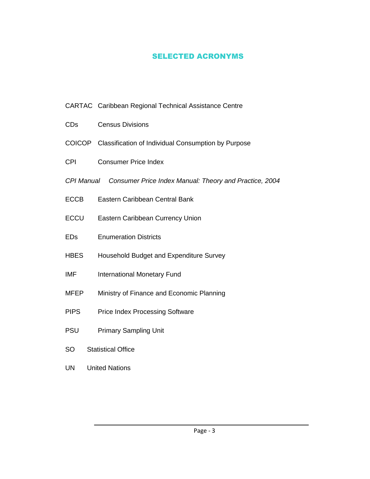### SELECTED ACRONYMS

- <span id="page-8-0"></span>CARTAC Caribbean Regional Technical Assistance Centre
- CDs Census Divisions
- COICOP Classification of Individual Consumption by Purpose
- CPI Consumer Price Index
- *CPI Manual Consumer Price Index Manual: Theory and Practice, 2004*
- ECCB Eastern Caribbean Central Bank
- ECCU Eastern Caribbean Currency Union
- EDs Enumeration Districts
- HBES Household Budget and Expenditure Survey
- IMF International Monetary Fund
- MFEP Ministry of Finance and Economic Planning
- PIPS Price Index Processing Software
- PSU Primary Sampling Unit
- SO Statistical Office
- UN United Nations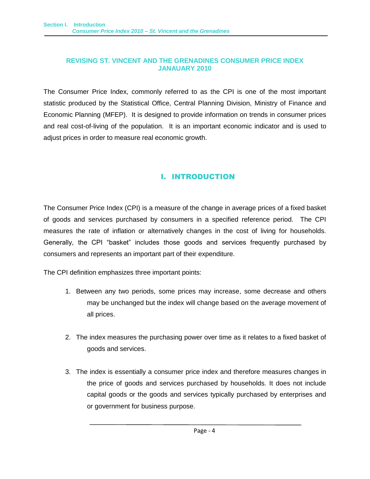### **REVISING ST. VINCENT AND THE GRENADINES CONSUMER PRICE INDEX JANAUARY 2010**

The Consumer Price Index, commonly referred to as the CPI is one of the most important statistic produced by the Statistical Office, Central Planning Division, Ministry of Finance and Economic Planning (MFEP). It is designed to provide information on trends in consumer prices and real cost-of-living of the population. It is an important economic indicator and is used to adjust prices in order to measure real economic growth.

### I. INTRODUCTION

<span id="page-9-0"></span>The Consumer Price Index (CPI) is a measure of the change in average prices of a fixed basket of goods and services purchased by consumers in a specified reference period. The CPI measures the rate of inflation or alternatively changes in the cost of living for households. Generally, the CPI "basket" includes those goods and services frequently purchased by consumers and represents an important part of their expenditure.

The CPI definition emphasizes three important points:

- 1. Between any two periods, some prices may increase, some decrease and others may be unchanged but the index will change based on the average movement of all prices.
- 2. The index measures the purchasing power over time as it relates to a fixed basket of goods and services.
- 3. The index is essentially a consumer price index and therefore measures changes in the price of goods and services purchased by households. It does not include capital goods or the goods and services typically purchased by enterprises and or government for business purpose.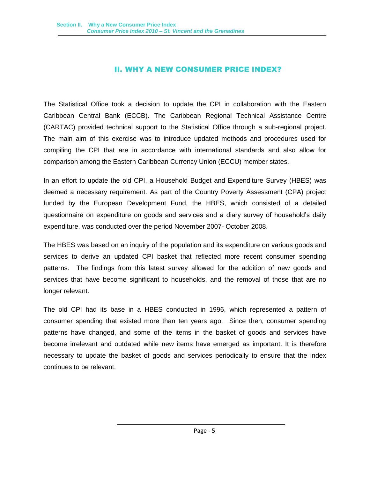### II. WHY A NEW CONSUMER PRICE INDEX?

<span id="page-10-0"></span>The Statistical Office took a decision to update the CPI in collaboration with the Eastern Caribbean Central Bank (ECCB). The Caribbean Regional Technical Assistance Centre (CARTAC) provided technical support to the Statistical Office through a sub-regional project. The main aim of this exercise was to introduce updated methods and procedures used for compiling the CPI that are in accordance with international standards and also allow for comparison among the Eastern Caribbean Currency Union (ECCU) member states.

In an effort to update the old CPI, a Household Budget and Expenditure Survey (HBES) was deemed a necessary requirement. As part of the Country Poverty Assessment (CPA) project funded by the European Development Fund, the HBES, which consisted of a detailed questionnaire on expenditure on goods and services and a diary survey of household's daily expenditure, was conducted over the period November 2007- October 2008.

The HBES was based on an inquiry of the population and its expenditure on various goods and services to derive an updated CPI basket that reflected more recent consumer spending patterns. The findings from this latest survey allowed for the addition of new goods and services that have become significant to households, and the removal of those that are no longer relevant.

The old CPI had its base in a HBES conducted in 1996, which represented a pattern of consumer spending that existed more than ten years ago. Since then, consumer spending patterns have changed, and some of the items in the basket of goods and services have become irrelevant and outdated while new items have emerged as important. It is therefore necessary to update the basket of goods and services periodically to ensure that the index continues to be relevant.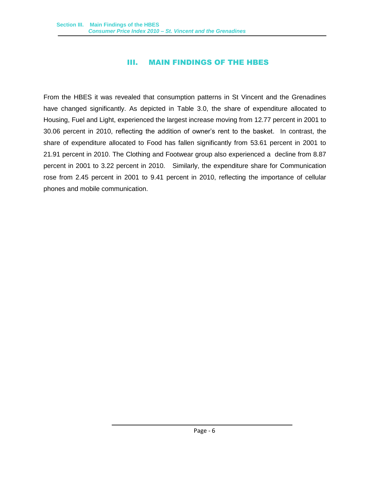### III. MAIN FINDINGS OF THE HBES

<span id="page-11-0"></span>From the HBES it was revealed that consumption patterns in St Vincent and the Grenadines have changed significantly. As depicted in Table 3.0, the share of expenditure allocated to Housing, Fuel and Light, experienced the largest increase moving from 12.77 percent in 2001 to 30.06 percent in 2010, reflecting the addition of owner's rent to the basket. In contrast, the share of expenditure allocated to Food has fallen significantly from 53.61 percent in 2001 to 21.91 percent in 2010. The Clothing and Footwear group also experienced a decline from 8.87 percent in 2001 to 3.22 percent in 2010. Similarly, the expenditure share for Communication rose from 2.45 percent in 2001 to 9.41 percent in 2010, reflecting the importance of cellular phones and mobile communication.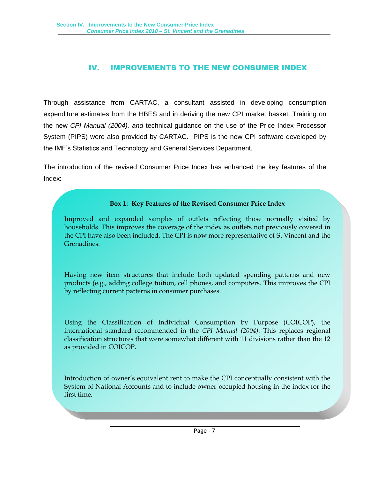### IV. IMPROVEMENTS TO THE NEW CONSUMER INDEX

<span id="page-12-0"></span>Through assistance from CARTAC, a consultant assisted in developing consumption expenditure estimates from the HBES and in deriving the new CPI market basket. Training on the new *CPI Manual (2004), and* technical guidance on the use of the Price Index Processor System (PIPS) were also provided by CARTAC. PIPS is the new CPI software developed by the IMF's Statistics and Technology and General Services Department.

The introduction of the revised Consumer Price Index has enhanced the key features of the Index:

### **Box 1: Key Features of the Revised Consumer Price Index**

Improved and expanded samples of outlets reflecting those normally visited by households. This improves the coverage of the index as outlets not previously covered in the CPI have also been included. The CPI is now more representative of St Vincent and the Grenadines.

Having new item structures that include both updated spending patterns and new products (e.g., adding college tuition, cell phones, and computers. This improves the CPI by reflecting current patterns in consumer purchases.

Using the Classification of Individual Consumption by Purpose (COICOP), the international standard recommended in the *CPI Manual (2004)*. This replaces regional classification structures that were somewhat different with 11 divisions rather than the 12 as provided in COICOP.

Introduction of owner's equivalent rent to make the CPI conceptually consistent with the System of National Accounts and to include owner-occupied housing in the index for the first time.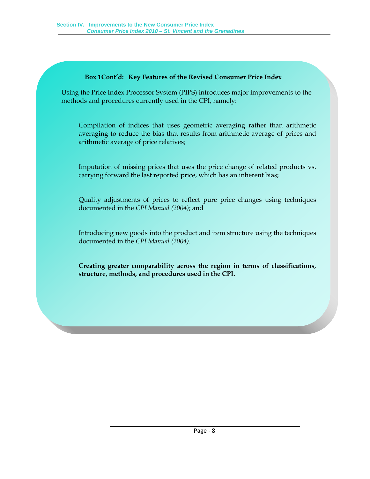### **Box 1Cont'd: Key Features of the Revised Consumer Price Index**

Using the Price Index Processor System (PIPS) introduces major improvements to the methods and procedures currently used in the CPI, namely:

Compilation of indices that uses geometric averaging rather than arithmetic averaging to reduce the bias that results from arithmetic average of prices and arithmetic average of price relatives;

Imputation of missing prices that uses the price change of related products vs. carrying forward the last reported price, which has an inherent bias;

Quality adjustments of prices to reflect pure price changes using techniques documented in the *CPI Manual (2004)*; and

Introducing new goods into the product and item structure using the techniques documented in the *CPI Manual (2004)*.

**Creating greater comparability across the region in terms of classifications, structure, methods, and procedures used in the CPI.**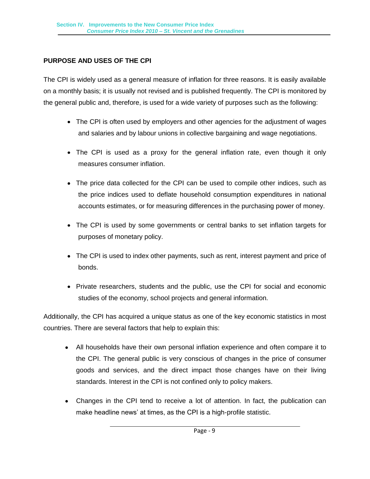### **PURPOSE AND USES OF THE CPI**

The CPI is widely used as a general measure of inflation for three reasons. It is easily available on a monthly basis; it is usually not revised and is published frequently. The CPI is monitored by the general public and, therefore, is used for a wide variety of purposes such as the following:

- The CPI is often used by employers and other agencies for the adjustment of wages and salaries and by labour unions in collective bargaining and wage negotiations.
- The CPI is used as a proxy for the general inflation rate, even though it only measures consumer inflation.
- The price data collected for the CPI can be used to compile other indices, such as the price indices used to deflate household consumption expenditures in national accounts estimates, or for measuring differences in the purchasing power of money.
- The CPI is used by some governments or central banks to set inflation targets for purposes of monetary policy.
- The CPI is used to index other payments, such as rent, interest payment and price of bonds.
- Private researchers, students and the public, use the CPI for social and economic studies of the economy, school projects and general information.

Additionally, the CPI has acquired a unique status as one of the key economic statistics in most countries. There are several factors that help to explain this:

- All households have their own personal inflation experience and often compare it to the CPI. The general public is very conscious of changes in the price of consumer goods and services, and the direct impact those changes have on their living standards. Interest in the CPI is not confined only to policy makers.
- Changes in the CPI tend to receive a lot of attention. In fact, the publication can make headline news' at times, as the CPI is a high-profile statistic.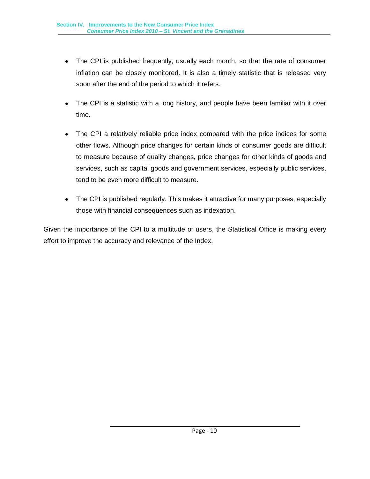- The CPI is published frequently, usually each month, so that the rate of consumer inflation can be closely monitored. It is also a timely statistic that is released very soon after the end of the period to which it refers.
- The CPI is a statistic with a long history, and people have been familiar with it over time.
- The CPI a relatively reliable price index compared with the price indices for some other flows. Although price changes for certain kinds of consumer goods are difficult to measure because of quality changes, price changes for other kinds of goods and services, such as capital goods and government services, especially public services, tend to be even more difficult to measure.
- The CPI is published regularly. This makes it attractive for many purposes, especially those with financial consequences such as indexation.

Given the importance of the CPI to a multitude of users, the Statistical Office is making every effort to improve the accuracy and relevance of the Index.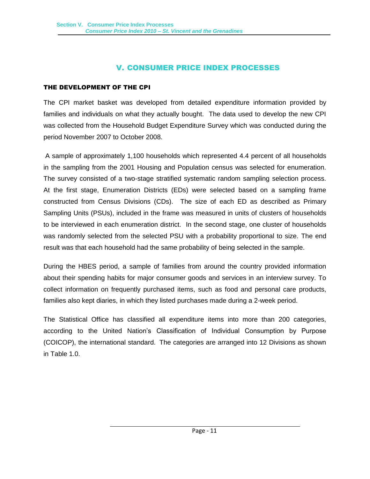### V. CONSUMER PRICE INDEX PROCESSES

### <span id="page-16-1"></span><span id="page-16-0"></span>THE DEVELOPMENT OF THE CPI

The CPI market basket was developed from detailed expenditure information provided by families and individuals on what they actually bought. The data used to develop the new CPI was collected from the Household Budget Expenditure Survey which was conducted during the period November 2007 to October 2008.

A sample of approximately 1,100 households which represented 4.4 percent of all households in the sampling from the 2001 Housing and Population census was selected for enumeration. The survey consisted of a two-stage stratified systematic random sampling selection process. At the first stage, Enumeration Districts (EDs) were selected based on a sampling frame constructed from Census Divisions (CDs). The size of each ED as described as Primary Sampling Units (PSUs), included in the frame was measured in units of clusters of households to be interviewed in each enumeration district. In the second stage, one cluster of households was randomly selected from the selected PSU with a probability proportional to size. The end result was that each household had the same probability of being selected in the sample.

During the HBES period, a sample of families from around the country provided information about their spending habits for major consumer goods and services in an interview survey. To collect information on frequently purchased items, such as food and personal care products, families also kept diaries, in which they listed purchases made during a 2-week period.

The Statistical Office has classified all expenditure items into more than 200 categories, according to the United Nation's Classification of Individual Consumption by Purpose (COICOP), the international standard. The categories are arranged into 12 Divisions as shown in Table 1.0.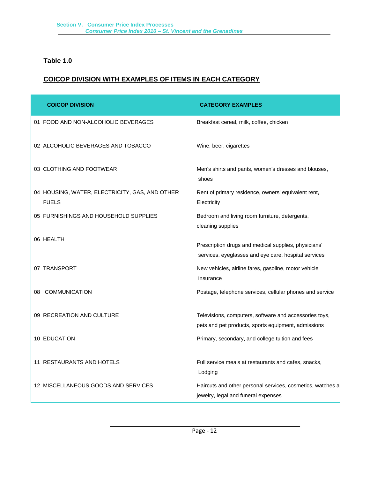### **Table 1.0**

### **COICOP DIVISION WITH EXAMPLES OF ITEMS IN EACH CATEGORY**

| <b>COICOP DIVISION</b>                                         | <b>CATEGORY EXAMPLES</b>                                                                                      |
|----------------------------------------------------------------|---------------------------------------------------------------------------------------------------------------|
| 01 FOOD AND NON-ALCOHOLIC BEVERAGES                            | Breakfast cereal, milk, coffee, chicken                                                                       |
| 02 ALCOHOLIC BEVERAGES AND TOBACCO                             | Wine, beer, cigarettes                                                                                        |
| 03 CLOTHING AND FOOTWEAR                                       | Men's shirts and pants, women's dresses and blouses,<br>shoes                                                 |
| 04 HOUSING, WATER, ELECTRICITY, GAS, AND OTHER<br><b>FUELS</b> | Rent of primary residence, owners' equivalent rent,<br>Electricity                                            |
| 05 FURNISHINGS AND HOUSEHOLD SUPPLIES                          | Bedroom and living room furniture, detergents,<br>cleaning supplies                                           |
| 06 HEALTH                                                      | Prescription drugs and medical supplies, physicians'<br>services, eyeglasses and eye care, hospital services  |
| 07 TRANSPORT                                                   | New vehicles, airline fares, gasoline, motor vehicle<br>insurance                                             |
| 08 COMMUNICATION                                               | Postage, telephone services, cellular phones and service                                                      |
| 09 RECREATION AND CULTURE                                      | Televisions, computers, software and accessories toys,<br>pets and pet products, sports equipment, admissions |
| 10 EDUCATION                                                   | Primary, secondary, and college tuition and fees                                                              |
| 11 RESTAURANTS AND HOTELS                                      | Full service meals at restaurants and cafes, snacks,<br>Lodging                                               |
| 12 MISCELLANEOUS GOODS AND SERVICES                            | Haircuts and other personal services, cosmetics, watches a<br>jewelry, legal and funeral expenses             |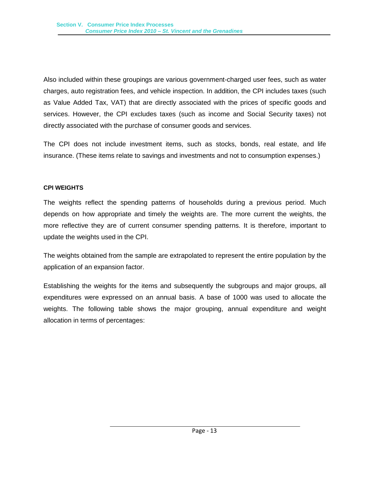Also included within these groupings are various government-charged user fees, such as water charges, auto registration fees, and vehicle inspection. In addition, the CPI includes taxes (such as Value Added Tax, VAT) that are directly associated with the prices of specific goods and services. However, the CPI excludes taxes (such as income and Social Security taxes) not directly associated with the purchase of consumer goods and services.

The CPI does not include investment items, such as stocks, bonds, real estate, and life insurance. (These items relate to savings and investments and not to consumption expenses.)

### <span id="page-18-0"></span>**CPI WEIGHTS**

The weights reflect the spending patterns of households during a previous period. Much depends on how appropriate and timely the weights are. The more current the weights, the more reflective they are of current consumer spending patterns. It is therefore, important to update the weights used in the CPI.

The weights obtained from the sample are extrapolated to represent the entire population by the application of an expansion factor.

Establishing the weights for the items and subsequently the subgroups and major groups, all expenditures were expressed on an annual basis. A base of 1000 was used to allocate the weights. The following table shows the major grouping, annual expenditure and weight allocation in terms of percentages: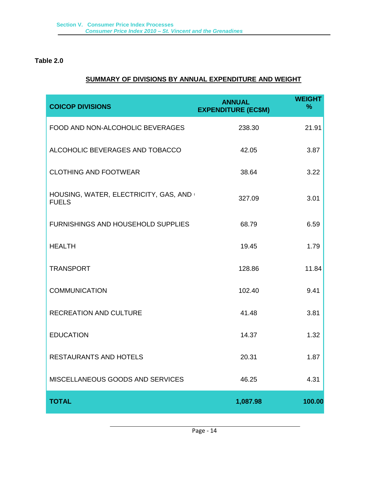### **Table 2.0**

### **SUMMARY OF DIVISIONS BY ANNUAL EXPENDITURE AND WEIGHT**

| <b>COICOP DIVISIONS</b>                               | <b>ANNUAL</b><br><b>EXPENDITURE (EC\$M)</b> | <b>WEIGHT</b><br>$\frac{9}{6}$ |
|-------------------------------------------------------|---------------------------------------------|--------------------------------|
| FOOD AND NON-ALCOHOLIC BEVERAGES                      | 238.30                                      | 21.91                          |
| ALCOHOLIC BEVERAGES AND TOBACCO                       | 42.05                                       | 3.87                           |
| <b>CLOTHING AND FOOTWEAR</b>                          | 38.64                                       | 3.22                           |
| HOUSING, WATER, ELECTRICITY, GAS, AND<br><b>FUELS</b> | 327.09                                      | 3.01                           |
| <b>FURNISHINGS AND HOUSEHOLD SUPPLIES</b>             | 68.79                                       | 6.59                           |
| <b>HEALTH</b>                                         | 19.45                                       | 1.79                           |
| <b>TRANSPORT</b>                                      | 128.86                                      | 11.84                          |
| <b>COMMUNICATION</b>                                  | 102.40                                      | 9.41                           |
| <b>RECREATION AND CULTURE</b>                         | 41.48                                       | 3.81                           |
| <b>EDUCATION</b>                                      | 14.37                                       | 1.32                           |
| <b>RESTAURANTS AND HOTELS</b>                         | 20.31                                       | 1.87                           |
| MISCELLANEOUS GOODS AND SERVICES                      | 46.25                                       | 4.31                           |
| <b>TOTAL</b>                                          | 1,087.98                                    | 100.00                         |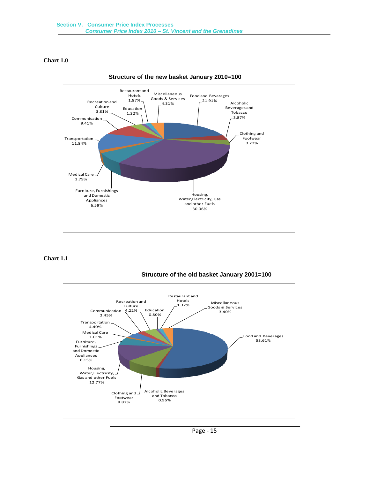### **Chart 1.0**





### **Chart 1.1**



### **Structure of the old basket January 2001=100**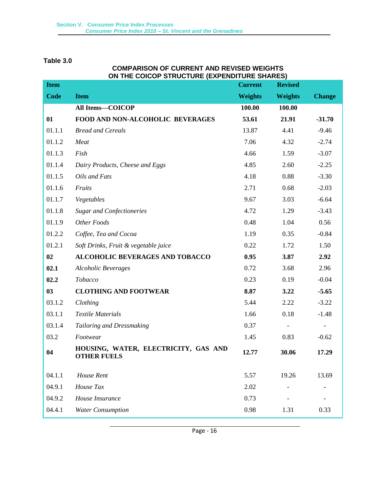### **Table 3.0**

### **COMPARISON OF CURRENT AND REVISED WEIGHTS ON THE COICOP STRUCTURE (EXPENDITURE SHARES)**

| <b>Item</b> |                                                            | <b>Current</b> | <b>Revised</b>           |               |
|-------------|------------------------------------------------------------|----------------|--------------------------|---------------|
| <b>Code</b> | <b>Item</b>                                                | <b>Weights</b> | <b>Weights</b>           | <b>Change</b> |
|             | All Items-COICOP                                           | 100.00         | 100.00                   |               |
| 01          | FOOD AND NON-ALCOHOLIC BEVERAGES                           | 53.61          | 21.91                    | $-31.70$      |
| 01.1.1      | <b>Bread and Cereals</b>                                   | 13.87          | 4.41                     | $-9.46$       |
| 01.1.2      | Meat                                                       | 7.06           | 4.32                     | $-2.74$       |
| 01.1.3      | Fish                                                       | 4.66           | 1.59                     | $-3.07$       |
| 01.1.4      | Dairy Products, Cheese and Eggs                            | 4.85           | 2.60                     | $-2.25$       |
| 01.1.5      | Oils and Fats                                              | 4.18           | 0.88                     | $-3.30$       |
| 01.1.6      | Fruits                                                     | 2.71           | 0.68                     | $-2.03$       |
| 01.1.7      | Vegetables                                                 | 9.67           | 3.03                     | $-6.64$       |
| 01.1.8      | <b>Sugar and Confectioneries</b>                           | 4.72           | 1.29                     | $-3.43$       |
| 01.1.9      | Other Foods                                                | 0.48           | 1.04                     | 0.56          |
| 01.2.2      | Coffee, Tea and Cocoa                                      | 1.19           | 0.35                     | $-0.84$       |
| 01.2.1      | Soft Drinks, Fruit & vegetable juice                       | 0.22           | 1.72                     | 1.50          |
| 02          | <b>ALCOHOLIC BEVERAGES AND TOBACCO</b>                     | 0.95           | 3.87                     | 2.92          |
| 02.1        | <b>Alcoholic Beverages</b>                                 | 0.72           | 3.68                     | 2.96          |
| 02.2        | Tobacco                                                    | 0.23           | 0.19                     | $-0.04$       |
| 03          | <b>CLOTHING AND FOOTWEAR</b>                               | 8.87           | 3.22                     | $-5.65$       |
| 03.1.2      | Clothing                                                   | 5.44           | 2.22                     | $-3.22$       |
| 03.1.1      | <b>Textile Materials</b>                                   | 1.66           | 0.18                     | $-1.48$       |
| 03.1.4      | Tailoring and Dressmaking                                  | 0.37           | $\overline{\phantom{a}}$ |               |
| 03.2        | Footwear                                                   | 1.45           | 0.83                     | $-0.62$       |
| 04          | HOUSING, WATER, ELECTRICITY, GAS AND<br><b>OTHER FUELS</b> | 12.77          | 30.06                    | 17.29         |
| 04.1.1      | House Rent                                                 | 5.57           | 19.26                    | 13.69         |
| 04.9.1      | House Tax                                                  | 2.02           |                          |               |
| 04.9.2      | House Insurance                                            | 0.73           |                          |               |
| 04.4.1      | <b>Water Consumption</b>                                   | 0.98           | 1.31                     | 0.33          |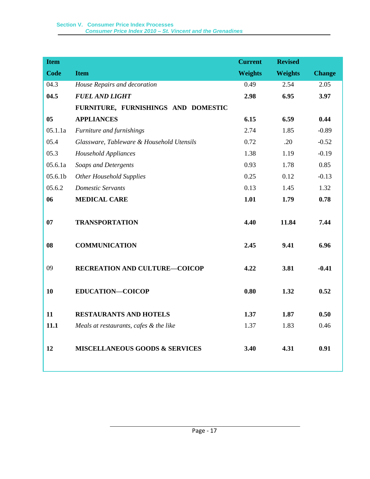| <b>Item</b>    |                                           | <b>Current</b> | <b>Revised</b> |               |
|----------------|-------------------------------------------|----------------|----------------|---------------|
| <b>Code</b>    | <b>Item</b>                               | <b>Weights</b> | <b>Weights</b> | <b>Change</b> |
| 04.3           | House Repairs and decoration              | 0.49           | 2.54           | 2.05          |
| 04.5           | <b>FUEL AND LIGHT</b>                     | 2.98           | 6.95           | 3.97          |
|                | FURNITURE, FURNISHINGS AND DOMESTIC       |                |                |               |
| 0 <sub>5</sub> | <b>APPLIANCES</b>                         | 6.15           | 6.59           | 0.44          |
| 05.1.1a        | Furniture and furnishings                 | 2.74           | 1.85           | $-0.89$       |
| 05.4           | Glassware, Tableware & Household Utensils | 0.72           | .20            | $-0.52$       |
| 05.3           | <b>Household Appliances</b>               | 1.38           | 1.19           | $-0.19$       |
| 05.6.1a        | Soaps and Detergents                      | 0.93           | 1.78           | 0.85          |
| 05.6.1b        | <b>Other Household Supplies</b>           | 0.25           | 0.12           | $-0.13$       |
| 05.6.2         | <b>Domestic Servants</b>                  | 0.13           | 1.45           | 1.32          |
| 06             | <b>MEDICAL CARE</b>                       | 1.01           | 1.79           | 0.78          |
|                |                                           |                |                |               |
| 07             | <b>TRANSPORTATION</b>                     | 4.40           | 11.84          | 7.44          |
|                |                                           |                |                |               |
| 08             | <b>COMMUNICATION</b>                      | 2.45           | 9.41           | 6.96          |
|                |                                           |                |                |               |
| 09             | RECREATION AND CULTURE-COICOP             | 4.22           | 3.81           | $-0.41$       |
|                |                                           |                |                |               |
| 10             | <b>EDUCATION-COICOP</b>                   | 0.80           | 1.32           | 0.52          |
|                |                                           |                |                |               |
| 11             | <b>RESTAURANTS AND HOTELS</b>             | 1.37           | 1.87           | 0.50          |
| 11.1           | Meals at restaurants, cafes & the like    | 1.37           | 1.83           | 0.46          |
|                |                                           |                |                |               |
| 12             | <b>MISCELLANEOUS GOODS &amp; SERVICES</b> | 3.40           | 4.31           | 0.91          |
|                |                                           |                |                |               |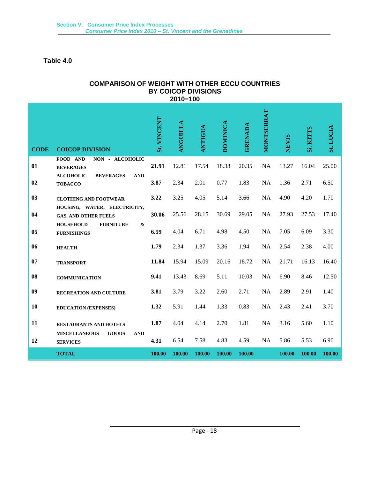### **Table 4.0**

### **COMPARISON OF WEIGHT WITH OTHER ECCU COUNTRIES BY COICOP DIVISIONS 2010=100**

| <b>CODE</b> | <b>COICOP DIVISION</b>                                                | <b>St. VINCENT</b> | <b>ANGUILLA</b> | <b>ANTIGUA</b> | <b>DOMINICA</b> | <b>GRENADA</b> | MONTSERRAT | <b>NEVIS</b> | Si. KITTS | St. LUCIA |
|-------------|-----------------------------------------------------------------------|--------------------|-----------------|----------------|-----------------|----------------|------------|--------------|-----------|-----------|
| 01          | FOOD AND<br>NON - ALCOHOLIC<br><b>BEVERAGES</b>                       | 21.91              | 12.81           | 17.54          | 18.33           | 20.35          | NA         | 13.27        | 16.04     | 25.00     |
| 02          | <b>BEVERAGES</b><br><b>AND</b><br><b>ALCOHOLIC</b><br><b>TOBACCO</b>  | 3.87               | 2.34            | 2.01           | 0.77            | 1.83           | NA         | 1.36         | 2.71      | 6.50      |
| 03          | <b>CLOTHING AND FOOTWEAR</b>                                          | 3.22               | 3.25            | 4.05           | 5.14            | 3.66           | NA         | 4.90         | 4.20      | 1.70      |
| 04          | HOUSING, WATER, ELECTRICITY,<br><b>GAS, AND OTHER FUELS</b>           | 30.06              | 25.56           | 28.15          | 30.69           | 29.05          | NA         | 27.93        | 27.53     | 17.40     |
| 05          | <b>HOUSEHOLD</b><br><b>FURNITURE</b><br>&<br><b>FURNISHINGS</b>       | 6.59               | 4.04            | 6.71           | 4.98            | 4.50           | <b>NA</b>  | 7.05         | 6.09      | 3.30      |
| 06          | <b>HEALTH</b>                                                         | 1.79               | 2.34            | 1.37           | 3.36            | 1.94           | <b>NA</b>  | 2.54         | 2.38      | 4.00      |
| 07          | <b>TRANSPORT</b>                                                      | 11.84              | 15.94           | 15.09          | 20.16           | 18.72          | NA         | 21.71        | 16.13     | 16.40     |
| 08          | <b>COMMUNICATION</b>                                                  | 9.41               | 13.43           | 8.69           | 5.11            | 10.03          | <b>NA</b>  | 6.90         | 8.46      | 12.50     |
| 09          | RECREATION AND CULTURE                                                | 3.81               | 3.79            | 3.22           | 2.60            | 2.71           | <b>NA</b>  | 2.89         | 2.91      | 1.40      |
| 10          | <b>EDUCATION (EXPENSES)</b>                                           | 1.32               | 5.91            | 1.44           | 1.33            | 0.83           | <b>NA</b>  | 2.43         | 2.41      | 3.70      |
| 11          | <b>RESTAURANTS AND HOTELS</b>                                         | 1.87               | 4.04            | 4.14           | 2.70            | 1.81           | <b>NA</b>  | 3.16         | 5.60      | 1.10      |
| 12          | <b>MISCELLANEOUS</b><br><b>GOODS</b><br><b>AND</b><br><b>SERVICES</b> | 4.31               | 6.54            | 7.58           | 4.83            | 4.59           | NA         | 5.86         | 5.53      | 6.90      |
|             | <b>TOTAL</b>                                                          | 100.00             | 100.00          | 100.00         | 100.00          | 100.00         |            | 100.00       | 100.00    | 100.00    |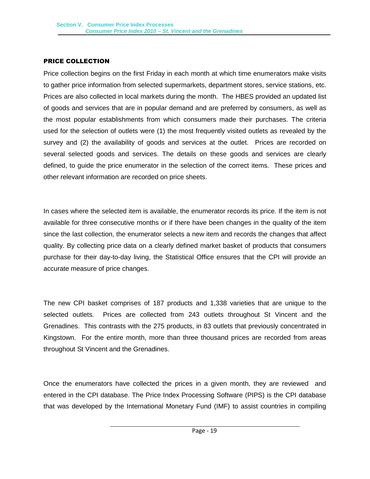### <span id="page-24-0"></span>PRICE COLLECTION

Price collection begins on the first Friday in each month at which time enumerators make visits to gather price information from selected supermarkets, department stores, service stations, etc. Prices are also collected in local markets during the month. The HBES provided an updated list of goods and services that are in popular demand and are preferred by consumers, as well as the most popular establishments from which consumers made their purchases. The criteria used for the selection of outlets were (1) the most frequently visited outlets as revealed by the survey and (2) the availability of goods and services at the outlet. Prices are recorded on several selected goods and services. The details on these goods and services are clearly defined, to guide the price enumerator in the selection of the correct items. These prices and other relevant information are recorded on price sheets.

In cases where the selected item is available, the enumerator records its price. If the item is not available for three consecutive months or if there have been changes in the quality of the item since the last collection, the enumerator selects a new item and records the changes that affect quality. By collecting price data on a clearly defined market basket of products that consumers purchase for their day-to-day living, the Statistical Office ensures that the CPI will provide an accurate measure of price changes.

The new CPI basket comprises of 187 products and 1,338 varieties that are unique to the selected outlets. Prices are collected from 243 outlets throughout St Vincent and the Grenadines. This contrasts with the 275 products, in 83 outlets that previously concentrated in Kingstown. For the entire month, more than three thousand prices are recorded from areas throughout St Vincent and the Grenadines.

Once the enumerators have collected the prices in a given month, they are reviewed and entered in the CPI database. The Price Index Processing Software (PIPS) is the CPI database that was developed by the International Monetary Fund (IMF) to assist countries in compiling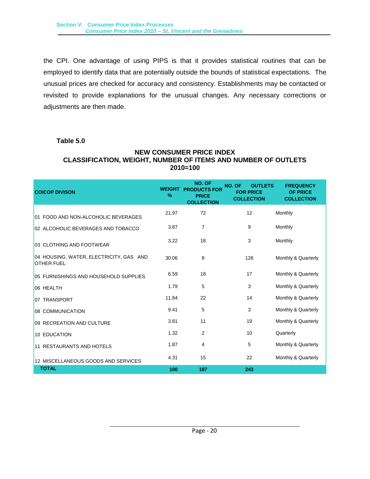the CPI. One advantage of using PIPS is that it provides statistical routines that can be employed to identify data that are potentially outside the bounds of statistical expectations. The unusual prices are checked for accuracy and consistency. Establishments may be contacted or revisited to provide explanations for the unusual changes. Any necessary corrections or adjustments are then made.

### **Table 5.0**

### **NEW CONSUMER PRICE INDEX CLASSIFICATION, WEIGHT, NUMBER OF ITEMS AND NUMBER OF OUTLETS 2010=100**

| <b>COICOP DIVISON</b>                                        | <b>WEIGHT</b><br>$\%$ | NO. OF<br><b>PRODUCTS FOR</b><br><b>PRICE</b><br><b>COLLECTION</b> | NO. OF<br><b>OUTLETS</b><br><b>FOR PRICE</b><br><b>COLLECTION</b> | <b>FREQUENCY</b><br><b>OF PRICE</b><br><b>COLLECTION</b> |
|--------------------------------------------------------------|-----------------------|--------------------------------------------------------------------|-------------------------------------------------------------------|----------------------------------------------------------|
| 01 FOOD AND NON-ALCOHOLIC BEVERAGES                          | 21.97                 | 72                                                                 | 12                                                                | Monthly                                                  |
| 02 ALCOHOLIC BEVERAGES AND TOBACCO                           | 3.87                  | $\overline{7}$                                                     | 9                                                                 | Monthly                                                  |
| 03 CLOTHING AND FOOTWEAR                                     | 3.22                  | 18                                                                 | 3                                                                 | Monthly                                                  |
| 04 HOUSING, WATER, ELECTRICITY, GAS AND<br><b>OTHER FUEL</b> | 30.06                 | 8                                                                  | 126                                                               | Monthly & Quarterly                                      |
| 05 FURNISHINGS AND HOUSEHOLD SUPPLIES                        | 6.59                  | 18                                                                 | 17                                                                | Monthly & Quarterly                                      |
| 06 HEALTH                                                    | 1.79                  | 5                                                                  | 3                                                                 | Monthly & Quarterly                                      |
| 07 TRANSPORT                                                 | 11.84                 | 22                                                                 | 14                                                                | Monthly & Quarterly                                      |
| 08 COMMUNICATION                                             | 9.41                  | 5                                                                  | 3                                                                 | Monthly & Quarterly                                      |
| 09 RECREATION AND CULTURE                                    | 3.81                  | 11                                                                 | 19                                                                | Monthly & Quarterly                                      |
| 10 EDUCATION                                                 | 1.32                  | 2                                                                  | 10                                                                | Quarterly                                                |
| 11 RESTAURANTS AND HOTELS                                    | 1.87                  | 4                                                                  | 5                                                                 | Monthly & Quarterly                                      |
| 12 MISCELLANEOUS GOODS AND SERVICES                          | 4.31                  | 15                                                                 | 22                                                                | Monthly & Quarterly                                      |
| <b>TOTAL</b>                                                 | 100                   | 187                                                                | 243                                                               |                                                          |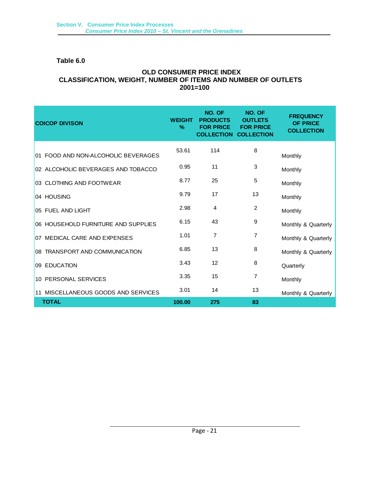### **Table 6.0**

### **OLD CONSUMER PRICE INDEX CLASSIFICATION, WEIGHT, NUMBER OF ITEMS AND NUMBER OF OUTLETS 2001=100**

| <b>COICOP DIVISON</b>               | <b>WEIGHT</b><br>$\%$ | NO. OF<br><b>PRODUCTS</b><br><b>FOR PRICE</b><br><b>COLLECTION COLLECTION</b> | NO. OF<br><b>OUTLETS</b><br><b>FOR PRICE</b> | <b>FREQUENCY</b><br><b>OF PRICE</b><br><b>COLLECTION</b> |
|-------------------------------------|-----------------------|-------------------------------------------------------------------------------|----------------------------------------------|----------------------------------------------------------|
| 01 FOOD AND NON-ALCOHOLIC BEVERAGES | 53.61                 | 114                                                                           | 8                                            | Monthly                                                  |
| 02 ALCOHOLIC BEVERAGES AND TOBACCO  | 0.95                  | 11                                                                            | 3                                            | Monthly                                                  |
| 03 CLOTHING AND FOOTWEAR            | 8.77                  | 25                                                                            | 5                                            | Monthly                                                  |
| 04 HOUSING                          | 9.79                  | 17                                                                            | 13                                           | Monthly                                                  |
| 05 FUEL AND LIGHT                   | 2.98                  | 4                                                                             | 2                                            | Monthly                                                  |
| 06 HOUSEHOLD FURNITURE AND SUPPLIES | 6.15                  | 43                                                                            | 9                                            | Monthly & Quarterly                                      |
| 07 MEDICAL CARE AND EXPENSES        | 1.01                  | 7                                                                             | 7                                            | Monthly & Quarterly                                      |
| 08 TRANSPORT AND COMMUNICATION      | 6.85                  | 13                                                                            | 8                                            | Monthly & Quarterly                                      |
| 09 EDUCATION                        | 3.43                  | 12                                                                            | 8                                            | Quarterly                                                |
| 10 PERSONAL SERVICES                | 3.35                  | 15                                                                            | 7                                            | Monthly                                                  |
| 11 MISCELLANEOUS GOODS AND SERVICES | 3.01                  | 14                                                                            | 13                                           | Monthly & Quarterly                                      |
| <b>TOTAL</b>                        | 100.00                | 275                                                                           | 83                                           |                                                          |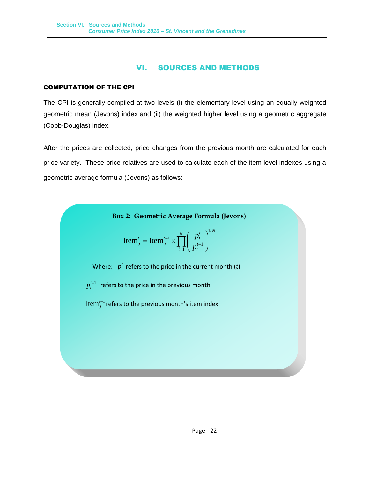### VI. SOURCES AND METHODS

### <span id="page-27-1"></span><span id="page-27-0"></span>COMPUTATION OF THE CPI

The CPI is generally compiled at two levels (i) the elementary level using an equally-weighted geometric mean (Jevons) index and (ii) the weighted higher level using a geometric aggregate (Cobb-Douglas) index.

After the prices are collected, price changes from the previous month are calculated for each price variety. These price relatives are used to calculate each of the item level indexes using a geometric average formula (Jevons) as follows:

**Box 2: Geometric Average Formula (Jevons)**

Item<sup>t</sup><sub>j</sub> = Item<sup>t-1</sup><sub>j</sub> × 
$$
\prod_{i=1}^{N} \left( \frac{p_i^{t}}{p_i^{t-1}} \right)^{1/N}
$$

Where:  $p_i^t$  refers to the price in the current month (*t*)

 $p_i^{t-1}\;$  refers to the price in the previous month

 $\mathop{\rm Item^{t-1}_{j}}$  refers to the previous month's item index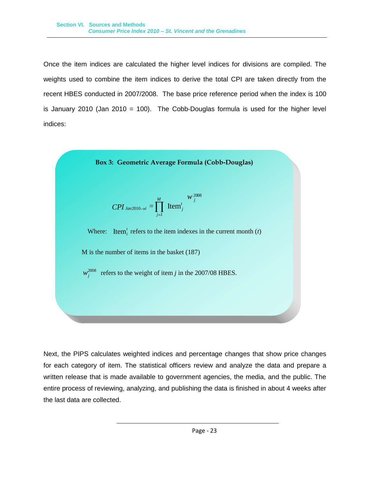Once the item indices are calculated the higher level indices for divisions are compiled. The weights used to combine the item indices to derive the total CPI are taken directly from the recent HBES conducted in 2007/2008. The base price reference period when the index is 100 is January 2010 (Jan 2010 = 100). The Cobb-Douglas formula is used for the higher level indices:



$$
CPI_{Jan2010 \to t} = \prod_{j=1}^{M} \text{Item}_{j}^{t}^{W_{j}^{2008}}
$$

Where: Item<sup> $t$ </sup> refers to the item indexes in the current month  $(t)$ 

M is the number of items in the basket (187)

 $w_j^{2008}$ refers to the weight of item *j* in the 2007/08 HBES.

Next, the PIPS calculates weighted indices and percentage changes that show price changes for each category of item. The statistical officers review and analyze the data and prepare a written release that is made available to government agencies, the media, and the public. The entire process of reviewing, analyzing, and publishing the data is finished in about 4 weeks after the last data are collected.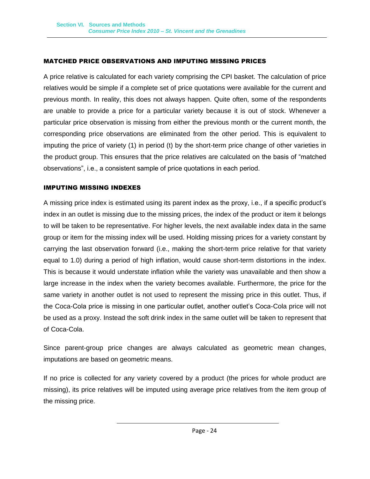### <span id="page-29-0"></span>MATCHED PRICE OBSERVATIONS AND IMPUTING MISSING PRICES

A price relative is calculated for each variety comprising the CPI basket. The calculation of price relatives would be simple if a complete set of price quotations were available for the current and previous month. In reality, this does not always happen. Quite often, some of the respondents are unable to provide a price for a particular variety because it is out of stock. Whenever a particular price observation is missing from either the previous month or the current month, the corresponding price observations are eliminated from the other period. This is equivalent to imputing the price of variety (1) in period (t) by the short-term price change of other varieties in the product group. This ensures that the price relatives are calculated on the basis of "matched observations", i.e., a consistent sample of price quotations in each period.

### <span id="page-29-1"></span>IMPUTING MISSING INDEXES

A missing price index is estimated using its parent index as the proxy, i.e., if a specific product's index in an outlet is missing due to the missing prices, the index of the product or item it belongs to will be taken to be representative. For higher levels, the next available index data in the same group or item for the missing index will be used. Holding missing prices for a variety constant by carrying the last observation forward (i.e., making the short-term price relative for that variety equal to 1.0) during a period of high inflation, would cause short-term distortions in the index. This is because it would understate inflation while the variety was unavailable and then show a large increase in the index when the variety becomes available. Furthermore, the price for the same variety in another outlet is not used to represent the missing price in this outlet. Thus, if the Coca-Cola price is missing in one particular outlet, another outlet's Coca-Cola price will not be used as a proxy. Instead the soft drink index in the same outlet will be taken to represent that of Coca-Cola.

Since parent-group price changes are always calculated as geometric mean changes, imputations are based on geometric means.

If no price is collected for any variety covered by a product (the prices for whole product are missing), its price relatives will be imputed using average price relatives from the item group of the missing price.

Page - 24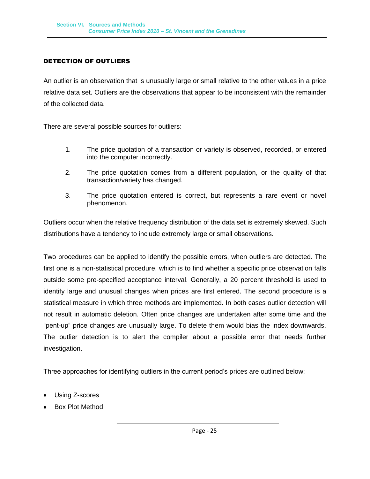### <span id="page-30-0"></span>DETECTION OF OUTLIERS

An outlier is an observation that is unusually large or small relative to the other values in a price relative data set. Outliers are the observations that appear to be inconsistent with the remainder of the collected data.

There are several possible sources for outliers:

- 1. The price quotation of a transaction or variety is observed, recorded, or entered into the computer incorrectly.
- 2. The price quotation comes from a different population, or the quality of that transaction/variety has changed.
- 3. The price quotation entered is correct, but represents a rare event or novel phenomenon.

Outliers occur when the relative frequency distribution of the data set is extremely skewed. Such distributions have a tendency to include extremely large or small observations.

Two procedures can be applied to identify the possible errors, when outliers are detected. The first one is a non-statistical procedure, which is to find whether a specific price observation falls outside some pre-specified acceptance interval. Generally, a 20 percent threshold is used to identify large and unusual changes when prices are first entered. The second procedure is a statistical measure in which three methods are implemented. In both cases outlier detection will not result in automatic deletion. Often price changes are undertaken after some time and the "pent-up" price changes are unusually large. To delete them would bias the index downwards. The outlier detection is to alert the compiler about a possible error that needs further investigation.

Three approaches for identifying outliers in the current period's prices are outlined below:

- Using Z-scores
- Box Plot Method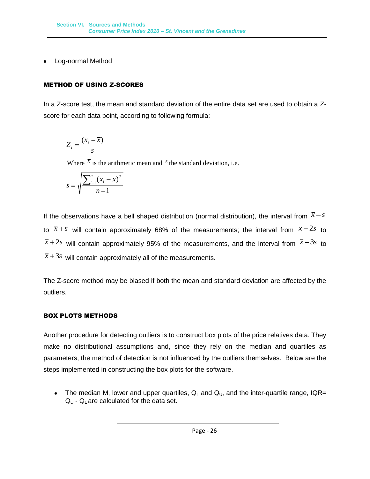• Log-normal Method

### <span id="page-31-0"></span>METHOD OF USING Z-SCORES

In a Z-score test, the mean and standard deviation of the entire data set are used to obtain a Zscore for each data point, according to following formula:

$$
Z_i = \frac{(x_i - \overline{x})}{s}
$$

Where  $\bar{x}$  is the arithmetic mean and  $\bar{s}$  the standard deviation, i.e.

$$
s = \sqrt{\frac{\sum_{i=1}^{n} (x_i - \bar{x})^2}{n - 1}}
$$

If the observations have a bell shaped distribution (normal distribution), the interval from  $\bar{x}$  - s to  $\bar{x}+s$  will contain approximately 68% of the measurements; the interval from  $\bar{x}-2s$  to  $\bar{x}$ +2*s* will contain approximately 95% of the measurements, and the interval from  $\bar{x}$ -3*s* to  $\bar{x}$ +3*s* will contain approximately all of the measurements.

The Z-score method may be biased if both the mean and standard deviation are affected by the outliers.

### <span id="page-31-1"></span>BOX PLOTS METHODS

Another procedure for detecting outliers is to construct box plots of the price relatives data. They make no distributional assumptions and, since they rely on the median and quartiles as parameters, the method of detection is not influenced by the outliers themselves. Below are the steps implemented in constructing the box plots for the software.

• The median M, lower and upper quartiles,  $Q_L$  and  $Q_U$ , and the inter-quartile range, IQR=  $Q_{U}$  -  $Q_{L}$  are calculated for the data set.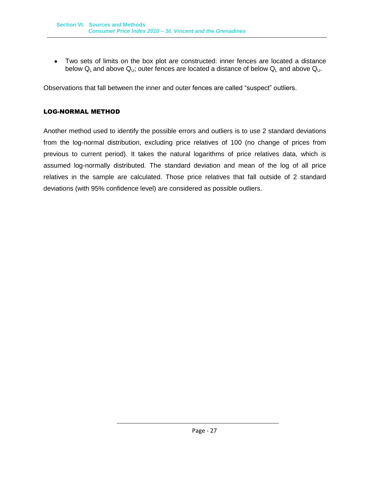Two sets of limits on the box plot are constructed: inner fences are located a distance below  $Q_L$  and above  $Q_U$ ; outer fences are located a distance of below  $Q_L$  and above  $Q_U$ .

Observations that fall between the inner and outer fences are called "suspect" outliers.

### <span id="page-32-0"></span>LOG-NORMAL METHOD

Another method used to identify the possible errors and outliers is to use 2 standard deviations from the log-normal distribution, excluding price relatives of 100 (no change of prices from previous to current period). It takes the natural logarithms of price relatives data, which is assumed log-normally distributed. The standard deviation and mean of the log of all price relatives in the sample are calculated. Those price relatives that fall outside of 2 standard deviations (with 95% confidence level) are considered as possible outliers.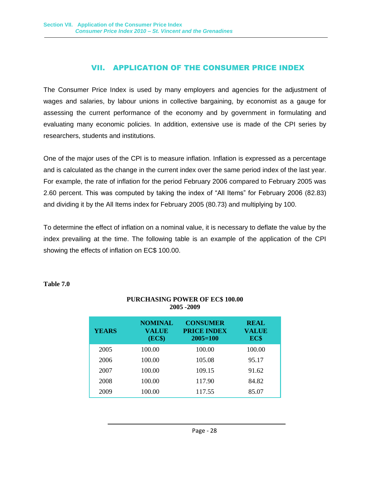### VII. APPLICATION OF THE CONSUMER PRICE INDEX

<span id="page-33-0"></span>The Consumer Price Index is used by many employers and agencies for the adjustment of wages and salaries, by labour unions in collective bargaining, by economist as a gauge for assessing the current performance of the economy and by government in formulating and evaluating many economic policies. In addition, extensive use is made of the CPI series by researchers, students and institutions.

One of the major uses of the CPI is to measure inflation. Inflation is expressed as a percentage and is calculated as the change in the current index over the same period index of the last year. For example, the rate of inflation for the period February 2006 compared to February 2005 was 2.60 percent. This was computed by taking the index of "All Items" for February 2006 (82.83) and dividing it by the All Items index for February 2005 (80.73) and multiplying by 100.

To determine the effect of inflation on a nominal value, it is necessary to deflate the value by the index prevailing at the time. The following table is an example of the application of the CPI showing the effects of inflation on EC\$ 100.00.

| <b>YEARS</b> | <b>NOMINAL</b><br><b>VALUE</b><br>(EC\$) | <b>CONSUMER</b><br><b>PRICE INDEX</b><br>$2005 = 100$ | <b>REAL</b><br><b>VALUE</b><br>EC\$ |
|--------------|------------------------------------------|-------------------------------------------------------|-------------------------------------|
| 2005         | 100.00                                   | 100.00                                                | 100.00                              |
| 2006         | 100.00                                   | 105.08                                                | 95.17                               |
| 2007         | 100.00                                   | 109.15                                                | 91.62                               |
| 2008         | 100.00                                   | 117.90                                                | 84.82                               |
| 2009         | 100.00                                   | 117.55                                                | 85.07                               |

**PURCHASING POWER OF EC\$ 100.00 2005 -2009**

### **Table 7.0**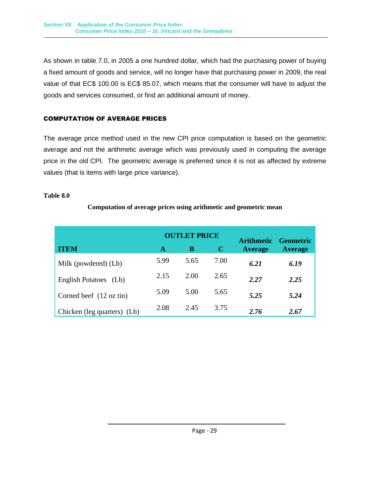As shown in table 7.0, in 2005 a one hundred dollar, which had the purchasing power of buying a fixed amount of goods and service, will no longer have that purchasing power in 2009, the real value of that EC\$ 100.00 is EC\$ 85.07, which means that the consumer will have to adjust the goods and services consumed, or find an additional amount of money.

### <span id="page-34-0"></span>COMPUTATION OF AVERAGE PRICES

The average price method used in the new CPI price computation is based on the geometric average and not the arithmetic average which was previously used in computing the average price in the old CPI. The geometric average is preferred since it is not as affected by extreme values (that is items with large price variance).

### **Table 8.0**

| <b>ITEM</b>                 | A    | <b>OUTLET PRICE</b><br>В | $\mathbf C$ | Arithmetic Geometric<br>Average | <b>Average</b> |
|-----------------------------|------|--------------------------|-------------|---------------------------------|----------------|
| Milk (powdered) (Lb)        | 5.99 | 5.65                     | 7.00        | 6.21                            | 6.19           |
| English Potatoes (Lb)       | 2.15 | 2.00                     | 2.65        | 2.27                            | 2.25           |
| Corned beef $(12 oz tin)$   | 5.09 | 5.00                     | 5.65        | 5.25                            | 5.24           |
| Chicken (leg quarters) (Lb) | 2.08 | 2.45                     | 3.75        | 2.76                            | 2.67           |

### **Computation of average prices using arithmetic and geometric mean**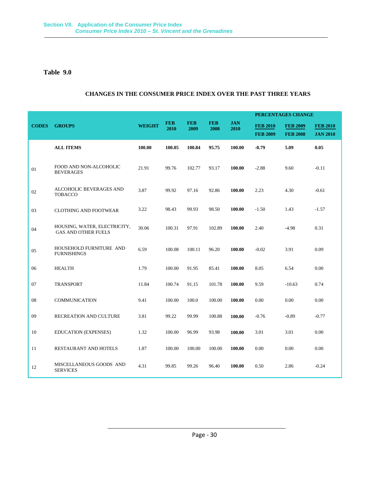### **Table 9.0**

### **CHANGES IN THE CONSUMER PRICE INDEX OVER THE PAST THREE YEARS**

|              |                                                            |               |                    |                    |                    |                    | PERCENTAGES CHANGE                 |                                    |                                    |
|--------------|------------------------------------------------------------|---------------|--------------------|--------------------|--------------------|--------------------|------------------------------------|------------------------------------|------------------------------------|
| <b>CODES</b> | <b>GROUPS</b>                                              | <b>WEIGHT</b> | <b>FEB</b><br>2010 | <b>FEB</b><br>2009 | <b>FEB</b><br>2008 | <b>JAN</b><br>2010 | <b>FEB 2010</b><br><b>FEB 2009</b> | <b>FEB 2009</b><br><b>FEB 2008</b> | <b>FEB 2010</b><br><b>JAN 2010</b> |
|              | <b>ALL ITEMS</b>                                           | 100.00        | 100.05             | 100.84             | 95.75              | 100.00             | $-0.79$                            | 5.09                               | 0.05                               |
| 01           | FOOD AND NON-ALCOHOLIC<br><b>BEVERAGES</b>                 | 21.91         | 99.76              | 102.77             | 93.17              | 100.00             | $-2.88$                            | 9.60                               | $-0.11$                            |
| 02           | ALCOHOLIC BEVERAGES AND<br><b>TOBACCO</b>                  | 3.87          | 99.92              | 97.16              | 92.86              | 100.00             | 2.23                               | 4.30                               | $-0.61$                            |
| 03           | <b>CLOTHING AND FOOTWEAR</b>                               | 3.22          | 98.43              | 99.93              | 98.50              | 100.00             | $-1.50$                            | 1.43                               | $-1.57$                            |
| 04           | HOUSING, WATER, ELECTRICITY,<br><b>GAS AND OTHER FUELS</b> | 30.06         | 100.31             | 97.91              | 102.89             | 100.00             | 2.40                               | -4.98                              | 0.31                               |
| 05           | HOUSEHOLD FURNITURE AND<br><b>FURNISHINGS</b>              | 6.59          | 100.08             | 100.11             | 96.20              | 100.00             | $-0.02$                            | 3.91                               | 0.09                               |
| 06           | <b>HEALTH</b>                                              | 1.79          | 100.00             | 91.95              | 85.41              | 100.00             | 8.05                               | 6.54                               | 0.00                               |
| 07           | <b>TRANSPORT</b>                                           | 11.84         | 100.74             | 91.15              | 101.78             | 100.00             | 9.59                               | $-10.63$                           | 0.74                               |
| 08           | <b>COMMUNICATION</b>                                       | 9.41          | 100.00             | 100.0              | 100.00             | 100.00             | 0.00                               | 0.00                               | 0.00                               |
| 09           | RECREATION AND CULTURE                                     | 3.81          | 99.22              | 99.99              | 100.88             | 100.00             | $-0.76$                            | $-0.89$                            | $-0.77$                            |
| 10           | <b>EDUCATION (EXPENSES)</b>                                | 1.32          | 100.00             | 96.99              | 93.98              | 100.00             | 3.01                               | 3.01                               | 0.00                               |
| 11           | RESTAURANT AND HOTELS                                      | 1.87          | 100.00             | 100.00             | 100.00             | 100.00             | 0.00                               | 0.00                               | 0.00                               |
| 12           | MISCELLANEOUS GOODS AND<br><b>SERVICES</b>                 | 4.31          | 99.85              | 99.26              | 96.40              | 100.00             | 0.50                               | 2.86                               | $-0.24$                            |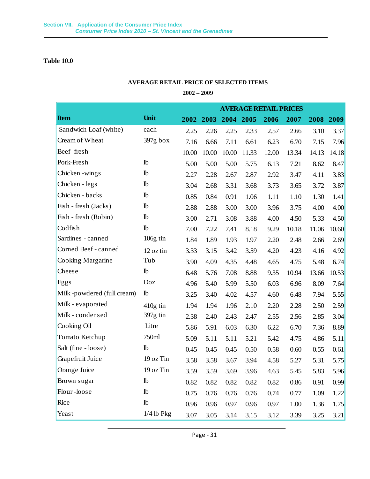### **Table 10.0**

### **AVERAGE RETAIL PRICE OF SELECTED ITEMS**

### **2002 – 2009**

|                            |                    | <b>AVERAGE RETAIL PRICES</b> |       |                |       |       |       |       |       |
|----------------------------|--------------------|------------------------------|-------|----------------|-------|-------|-------|-------|-------|
| <b>Item</b>                | Unit               | 2002                         |       | 2003 2004 2005 |       | 2006  | 2007  | 2008  | 2009  |
| Sandwich Loaf (white)      | each               | 2.25                         | 2.26  | 2.25           | 2.33  | 2.57  | 2.66  | 3.10  | 3.37  |
| Cream of Wheat             | 397g box           | 7.16                         | 6.66  | 7.11           | 6.61  | 6.23  | 6.70  | 7.15  | 7.96  |
| Beef-fresh                 |                    | 10.00                        | 10.00 | 10.00          | 11.33 | 12.00 | 13.34 | 14.13 | 14.18 |
| Pork-Fresh                 | lb                 | 5.00                         | 5.00  | 5.00           | 5.75  | 6.13  | 7.21  | 8.62  | 8.47  |
| Chicken -wings             | lb                 | 2.27                         | 2.28  | 2.67           | 2.87  | 2.92  | 3.47  | 4.11  | 3.83  |
| Chicken - legs             | lb                 | 3.04                         | 2.68  | 3.31           | 3.68  | 3.73  | 3.65  | 3.72  | 3.87  |
| Chicken - backs            | lb                 | 0.85                         | 0.84  | 0.91           | 1.06  | 1.11  | 1.10  | 1.30  | 1.41  |
| Fish - fresh (Jacks)       | lb                 | 2.88                         | 2.88  | 3.00           | 3.00  | 3.96  | 3.75  | 4.00  | 4.00  |
| Fish - fresh (Robin)       | <b>lb</b>          | 3.00                         | 2.71  | 3.08           | 3.88  | 4.00  | 4.50  | 5.33  | 4.50  |
| Codfish                    | lb                 | 7.00                         | 7.22  | 7.41           | 8.18  | 9.29  | 10.18 | 11.06 | 10.60 |
| Sardines - canned          | 106g tin           | 1.84                         | 1.89  | 1.93           | 1.97  | 2.20  | 2.48  | 2.66  | 2.69  |
| Corned Beef - canned       | 12 oz tin          | 3.33                         | 3.15  | 3.42           | 3.59  | 4.20  | 4.23  | 4.16  | 4.92  |
| Cooking Margarine          | Tub                | 3.90                         | 4.09  | 4.35           | 4.48  | 4.65  | 4.75  | 5.48  | 6.74  |
| Cheese                     | lb                 | 6.48                         | 5.76  | 7.08           | 8.88  | 9.35  | 10.94 | 13.66 | 10.53 |
| Eggs                       | Doz                | 4.96                         | 5.40  | 5.99           | 5.50  | 6.03  | 6.96  | 8.09  | 7.64  |
| Milk-powdered (full cream) | lb                 | 3.25                         | 3.40  | 4.02           | 4.57  | 4.60  | 6.48  | 7.94  | 5.55  |
| Milk - evaporated          | 410g tin           | 1.94                         | 1.94  | 1.96           | 2.10  | 2.20  | 2.28  | 2.50  | 2.59  |
| Milk - condensed           | $397g \text{ tin}$ | 2.38                         | 2.40  | 2.43           | 2.47  | 2.55  | 2.56  | 2.85  | 3.04  |
| Cooking Oil                | Litre              | 5.86                         | 5.91  | 6.03           | 6.30  | 6.22  | 6.70  | 7.36  | 8.89  |
| Tomato Ketchup             | 750ml              | 5.09                         | 5.11  | 5.11           | 5.21  | 5.42  | 4.75  | 4.86  | 5.11  |
| Salt (fine - loose)        | <b>lb</b>          | 0.45                         | 0.45  | 0.45           | 0.50  | 0.58  | 0.60  | 0.55  | 0.61  |
| Grapefruit Juice           | 19 oz Tin          | 3.58                         | 3.58  | 3.67           | 3.94  | 4.58  | 5.27  | 5.31  | 5.75  |
| Orange Juice               | 19 oz Tin          | 3.59                         | 3.59  | 3.69           | 3.96  | 4.63  | 5.45  | 5.83  | 5.96  |
| Brown sugar                | lb                 | 0.82                         | 0.82  | 0.82           | 0.82  | 0.82  | 0.86  | 0.91  | 0.99  |
| Flour-loose                | <sup>1</sup>       | 0.75                         | 0.76  | 0.76           | 0.76  | 0.74  | 0.77  | 1.09  | 1.22  |
| Rice                       | <b>lb</b>          | 0.96                         | 0.96  | 0.97           | 0.96  | 0.97  | 1.00  | 1.36  | 1.75  |
| Yeast                      | $1/4$ lb Pkg       | 3.07                         | 3.05  | 3.14           | 3.15  | 3.12  | 3.39  | 3.25  | 3.21  |

Page - 31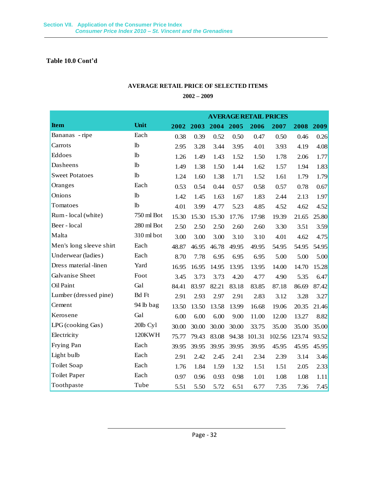**Table 10.0 Cont'd**

### **AVERAGE RETAIL PRICE OF SELECTED ITEMS**

### **2002 – 2009**

|                         |               |       | <b>AVERAGE RETAIL PRICES</b> |           |       |        |        |        |       |  |  |
|-------------------------|---------------|-------|------------------------------|-----------|-------|--------|--------|--------|-------|--|--|
| <b>Item</b>             | Unit          | 2002  | 2003                         | 2004 2005 |       | 2006   | 2007   | 2008   | 2009  |  |  |
| Bananas - ripe          | Each          | 0.38  | 0.39                         | 0.52      | 0.50  | 0.47   | 0.50   | 0.46   | 0.26  |  |  |
| Carrots                 | lb            | 2.95  | 3.28                         | 3.44      | 3.95  | 4.01   | 3.93   | 4.19   | 4.08  |  |  |
| Eddoes                  | lb            | 1.26  | 1.49                         | 1.43      | 1.52  | 1.50   | 1.78   | 2.06   | 1.77  |  |  |
| Dasheens                | lb            | 1.49  | 1.38                         | 1.50      | 1.44  | 1.62   | 1.57   | 1.94   | 1.83  |  |  |
| <b>Sweet Potatoes</b>   | lb            | 1.24  | 1.60                         | 1.38      | 1.71  | 1.52   | 1.61   | 1.79   | 1.79  |  |  |
| Oranges                 | Each          | 0.53  | 0.54                         | 0.44      | 0.57  | 0.58   | 0.57   | 0.78   | 0.67  |  |  |
| Onions                  | lb            | 1.42  | 1.45                         | 1.63      | 1.67  | 1.83   | 2.44   | 2.13   | 1.97  |  |  |
| Tomatoes                | lb            | 4.01  | 3.99                         | 4.77      | 5.23  | 4.85   | 4.52   | 4.62   | 4.52  |  |  |
| Rum - local (white)     | 750 ml Bot    | 15.30 | 15.30                        | 15.30     | 17.76 | 17.98  | 19.39  | 21.65  | 25.80 |  |  |
| Beer - local            | 280 ml Bot    | 2.50  | 2.50                         | 2.50      | 2.60  | 2.60   | 3.30   | 3.51   | 3.59  |  |  |
| Malta                   | 310 ml bot    | 3.00  | 3.00                         | 3.00      | 3.10  | 3.10   | 4.01   | 4.62   | 4.75  |  |  |
| Men's long sleeve shirt | Each          | 48.87 | 46.95                        | 46.78     | 49.95 | 49.95  | 54.95  | 54.95  | 54.95 |  |  |
| Underwear (ladies)      | Each          | 8.70  | 7.78                         | 6.95      | 6.95  | 6.95   | 5.00   | 5.00   | 5.00  |  |  |
| Dress material -linen   | Yard          | 16.95 | 16.95                        | 14.95     | 13.95 | 13.95  | 14.00  | 14.70  | 15.28 |  |  |
| Galvanise Sheet         | Foot          | 3.45  | 3.73                         | 3.73      | 4.20  | 4.77   | 4.90   | 5.35   | 6.47  |  |  |
| Oil Paint               | Gal           | 84.41 | 83.97                        | 82.21     | 83.18 | 83.85  | 87.18  | 86.69  | 87.42 |  |  |
| Lumber (dressed pine)   | <b>Bd</b> Ft  | 2.91  | 2.93                         | 2.97      | 2.91  | 2.83   | 3.12   | 3.28   | 3.27  |  |  |
| Cement                  | 94 lb bag     | 13.50 | 13.50                        | 13.58     | 13.99 | 16.68  | 19.06  | 20.35  | 21.46 |  |  |
| Kerosene                | Gal           | 6.00  | 6.00                         | 6.00      | 9.00  | 11.00  | 12.00  | 13.27  | 8.82  |  |  |
| LPG (cooking Gas)       | 20lb Cyl      | 30.00 | 30.00                        | 30.00     | 30.00 | 33.75  | 35.00  | 35.00  | 35.00 |  |  |
| Electricity             | <b>120KWH</b> | 75.77 | 79.43                        | 83.08     | 94.38 | 101.31 | 102.56 | 123.74 | 93.52 |  |  |
| Frying Pan              | Each          | 39.95 | 39.95                        | 39.95     | 39.95 | 39.95  | 45.95  | 45.95  | 45.95 |  |  |
| Light bulb              | Each          | 2.91  | 2.42                         | 2.45      | 2.41  | 2.34   | 2.39   | 3.14   | 3.46  |  |  |
| Toilet Soap             | Each          | 1.76  | 1.84                         | 1.59      | 1.32  | 1.51   | 1.51   | 2.05   | 2.33  |  |  |
| <b>Toilet Paper</b>     | Each          | 0.97  | 0.96                         | 0.93      | 0.98  | 1.01   | 1.08   | 1.08   | 1.11  |  |  |
| Toothpaste              | Tube          | 5.51  | 5.50                         | 5.72      | 6.51  | 6.77   | 7.35   | 7.36   | 7.45  |  |  |